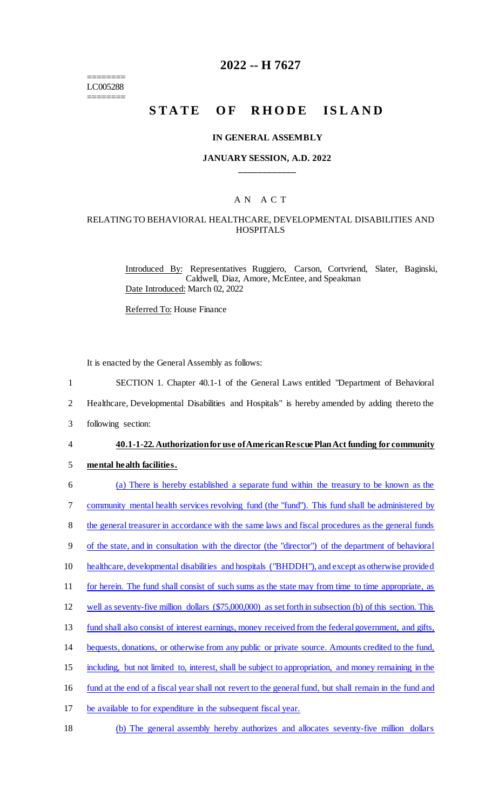======== LC005288 ========

# **2022 -- H 7627**

# STATE OF RHODE ISLAND

#### **IN GENERAL ASSEMBLY**

#### **JANUARY SESSION, A.D. 2022 \_\_\_\_\_\_\_\_\_\_\_\_**

# A N A C T

# RELATING TO BEHAVIORAL HEALTHCARE, DEVELOPMENTAL DISABILITIES AND **HOSPITALS**

Introduced By: Representatives Ruggiero, Carson, Cortvriend, Slater, Baginski, Caldwell, Diaz, Amore, McEntee, and Speakman Date Introduced: March 02, 2022

Referred To: House Finance

It is enacted by the General Assembly as follows:

- 1 SECTION 1. Chapter 40.1-1 of the General Laws entitled "Department of Behavioral
- 2 Healthcare, Developmental Disabilities and Hospitals" is hereby amended by adding thereto the
- 3 following section:

#### 4 **40.1-1-22. Authorization for use of American Rescue Plan Act funding for community**

- 5 **mental health facilities.**
- 6 (a) There is hereby established a separate fund within the treasury to be known as the 7 community mental health services revolving fund (the "fund"). This fund shall be administered by 8 the general treasurer in accordance with the same laws and fiscal procedures as the general funds 9 of the state, and in consultation with the director (the "director") of the department of behavioral
- 10 healthcare, developmental disabilities and hospitals ("BHDDH"), and except as otherwise provided
- 11 for herein. The fund shall consist of such sums as the state may from time to time appropriate, as
- 
- 12 well as seventy-five million dollars (\$75,000,000) as set forth in subsection (b) of this section. This
- 13 fund shall also consist of interest earnings, money received from the federal government, and gifts,
- 14 bequests, donations, or otherwise from any public or private source. Amounts credited to the fund,
- 15 including, but not limited to, interest, shall be subject to appropriation, and money remaining in the
- 16 fund at the end of a fiscal year shall not revert to the general fund, but shall remain in the fund and
- 17 be available to for expenditure in the subsequent fiscal year.
- 18 (b) The general assembly hereby authorizes and allocates seventy-five million dollars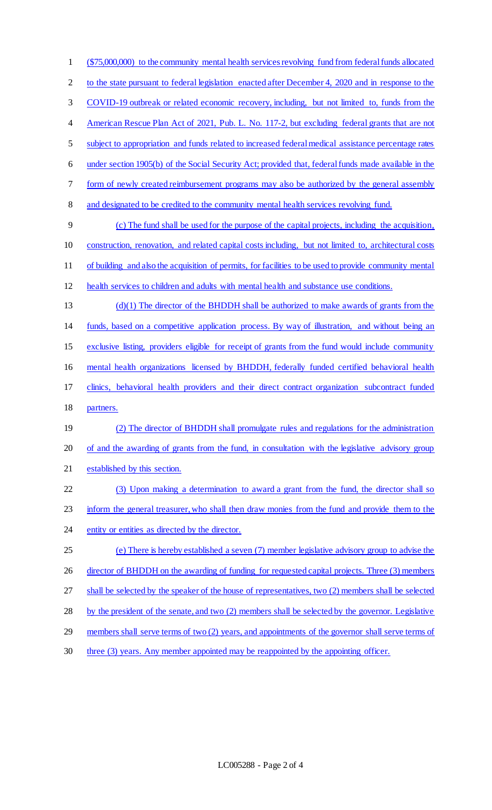(\$75,000,000) to the community mental health services revolving fund from federal funds allocated 2 to the state pursuant to federal legislation enacted after December 4, 2020 and in response to the COVID-19 outbreak or related economic recovery, including, but not limited to, funds from the American Rescue Plan Act of 2021, Pub. L. No. 117-2, but excluding federal grants that are not subject to appropriation and funds related to increased federal medical assistance percentage rates under section 1905(b) of the Social Security Act; provided that, federal funds made available in the form of newly created reimbursement programs may also be authorized by the general assembly and designated to be credited to the community mental health services revolving fund. (c) The fund shall be used for the purpose of the capital projects, including the acquisition, construction, renovation, and related capital costs including, but not limited to, architectural costs of building and also the acquisition of permits, for facilities to be used to provide community mental health services to children and adults with mental health and substance use conditions.  $(d)(1)$  The director of the BHDDH shall be authorized to make awards of grants from the funds, based on a competitive application process. By way of illustration, and without being an exclusive listing, providers eligible for receipt of grants from the fund would include community mental health organizations licensed by BHDDH, federally funded certified behavioral health clinics, behavioral health providers and their direct contract organization subcontract funded partners. (2) The director of BHDDH shall promulgate rules and regulations for the administration of and the awarding of grants from the fund, in consultation with the legislative advisory group established by this section. (3) Upon making a determination to award a grant from the fund, the director shall so 23 inform the general treasurer, who shall then draw monies from the fund and provide them to the 24 entity or entities as directed by the director. (e) There is hereby established a seven (7) member legislative advisory group to advise the 26 director of BHDDH on the awarding of funding for requested capital projects. Three (3) members shall be selected by the speaker of the house of representatives, two (2) members shall be selected by the president of the senate, and two (2) members shall be selected by the governor. Legislative 29 members shall serve terms of two (2) years, and appointments of the governor shall serve terms of three (3) years. Any member appointed may be reappointed by the appointing officer.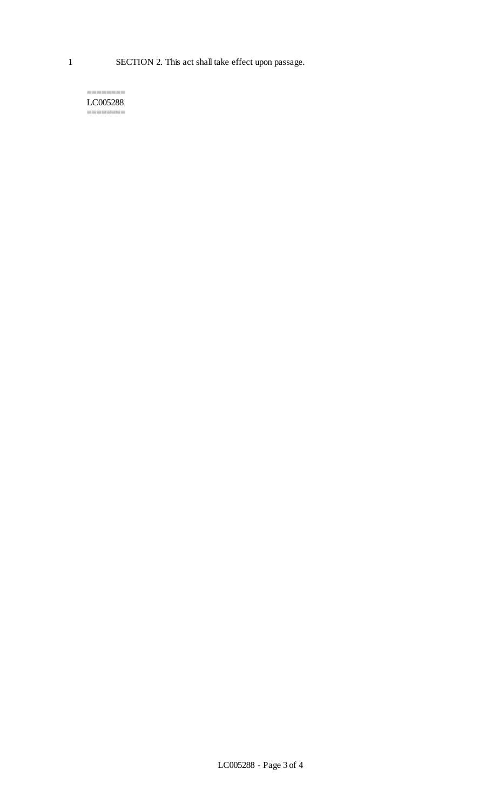======== LC005288 ========